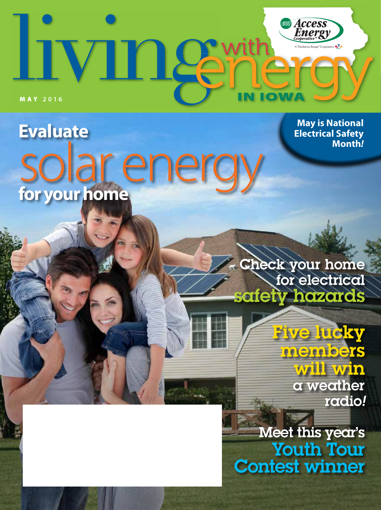

**Evaluate** solar energy **for your home**

> Check your home for electrical safety hazards

> > **Five lucky** members will win a weather radio*!*

**May is National Electrical Safety** 

**Month***!*

Meet this year's Youth Tour Contest winner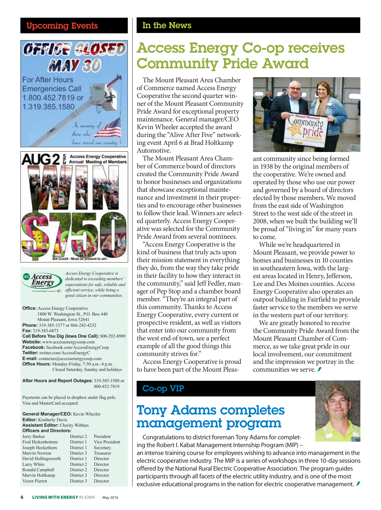### Upcoming Events **In the News**





*Access Energy Cooperative is dedicated to exceeding members' expectations for safe, reliable and efficient service, while being a good citizen in our communities.*

**Office:** Access Energy Cooperative 1800 W. Washington St., P.O. Box 440 Mount Pleasant, Iowa 52641 **Phone:** 319-385-1577 or 866-242-4232 **Fax:** 319-385-6873 **Call Before You Dig (Iowa One Call):** 800-292-8989 **Website:** www.accessenergycoop.com **Facebook:** facebook.com/AccessEnergyCoop **Twitter:** twitter.com/AccessEnergyC **E-mail:** contactus@accessenergycoop.com **Office Hours:** Monday-Friday, 7:30 a.m.-4 p.m. Closed Saturday, Sunday and holidays

**After Hours and Report Outages:** 319-385-1580 or 800-452-7819

Payments can be placed in dropbox under flag pole. Visa and MasterCard accepted.

**General Manager/CEO:** Kevin Wheeler **Editor:** Kimberly Davis **Assistant Editor:** Cherity Wibben **Officers and Directors:** Jerry Barker District 2 President

| Fred Hickenbottom   | District 1 | Vice President |
|---------------------|------------|----------------|
| Joseph Heckethorn   | District 1 | Secretary      |
| Marvin Newton       | District 3 | Treasurer      |
| David Hollingsworth | District 1 | Director       |
| Larry White         | District 2 | Director       |
| Ronald Campbell     | District 2 | Director       |
| Marvin Holtkamp     | District 3 | Director       |
| Victor Pierrot      | District 3 | Director       |

# Access Energy Co-op receives Community Pride Award

The Mount Pleasant Area Chamber of Commerce named Access Energy Cooperative the second quarter winner of the Mount Pleasant Community Pride Award for exceptional property maintenance. General manager/CEO Kevin Wheeler accepted the award during the "Alive After Five" networking event April 6 at Brad Holtkamp Automotive.

The Mount Pleasant Area Chamber of Commerce board of directors created the Community Pride Award to honor businesses and organizations that showcase exceptional maintenance and investment in their properties and to encourage other businesses to follow their lead. Winners are selected quarterly. Access Energy Cooperative was selected for the Community Pride Award from several nominees.

"Access Energy Cooperative is the kind of business that truly acts upon their mission statement in everything they do, from the way they take pride in their facility to how they interact in the community," said Jeff Fedler, manager of Pep Stop and a chamber board member. "They're an integral part of this community. Thanks to Access Energy Cooperative, every current or prospective resident, as well as visitors that enter into our community from the west end of town, see a perfect example of all the good things this community strives for."

Access Energy Cooperative is proud to have been part of the Mount Pleas-

### Co-op VIP

## Tony Adams completes management program



Congratulations to district foreman Tony Adams for completing the Robert I. Kabat Management Internship Program (MIP) –

an intense training course for employees wishing to advance into management in the electric cooperative industry. The MIP is a series of workshops in three 10-day sessions offered by the National Rural Electric Cooperative Association. The program guides participants through all facets of the electric utility industry, and is one of the most exclusive educational programs in the nation for electric cooperative management.

ommunity prid ant community since being formed in 1938 by the original members of

the cooperative. We're owned and operated by those who use our power and governed by a board of directors elected by those members. We moved from the east side of Washington Street to the west side of the street in 2008, when we built the building we'll be proud of "living in" for many years to come.

While we're headquartered in Mount Pleasant, we provide power to homes and businesses in 10 counties in southeastern Iowa, with the largest areas located in Henry, Jefferson, Lee and Des Moines counties. Access Energy Cooperative also operates an outpost building in Fairfield to provide faster service to the members we serve in the western part of our territory.

We are greatly honored to receive the Community Pride Award from the Mount Pleasant Chamber of Commerce, as we take great pride in our local involvement, our commitment and the impression we portray in the communities we serve.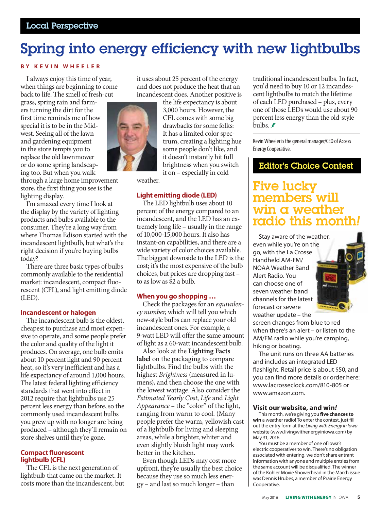# Spring into energy efficiency with new lightbulbs

### **BY KEVIN WHEELER**

I always enjoy this time of year, when things are beginning to come back to life. The smell of fresh-cut

grass, spring rain and farmers turning the dirt for the first time reminds me of how special it is to be in the Midwest. Seeing all of the lawn and gardening equipment in the store tempts you to replace the old lawnmower or do some spring landscaping too. But when you walk

through a large home improvement store, the first thing you see is the lighting display.

I'm amazed every time I look at the display by the variety of lighting products and bulbs available to the consumer. They're a long way from where Thomas Edison started with the incandescent lightbulb, but what's the right decision if you're buying bulbs today?

There are three basic types of bulbs commonly available to the residential market: incandescent, compact fluorescent (CFL), and light emitting diode (LED).

#### **Incandescent or halogen**

The incandescent bulb is the oldest, cheapest to purchase and most expensive to operate, and some people prefer the color and quality of the light it produces. On average, one bulb emits about 10 percent light and 90 percent heat, so it's very inefficient and has a life expectancy of around 1,000 hours. The latest federal lighting efficiency standards that went into effect in 2012 require that lightbulbs use 25 percent less energy than before, so the commonly used incandescent bulbs you grew up with no longer are being produced – although they'll remain on store shelves until they're gone.

# **Compact fluorescent lightbulb (CFL)**

The CFL is the next generation of lightbulb that came on the market. It costs more than the incandescent, but it uses about 25 percent of the energy and does not produce the heat that an incandescent does. Another positive is



the life expectancy is about 3,000 hours. However, the CFL comes with some big drawbacks for some folks: It has a limited color spectrum, creating a lighting hue some people don't like, and it doesn't instantly hit full brightness when you switch it on – especially in cold

weather.

### **Light emitting diode (LED)**

The LED lightbulb uses about 10 percent of the energy compared to an incandescent, and the LED has an extremely long life – usually in the range of 10,000-15,000 hours. It also has instant-on capabilities, and there are a wide variety of color choices available. The biggest downside to the LED is the cost; it's the most expensive of the bulb choices, but prices are dropping fast – to as low as \$2 a bulb.

### **When you go shopping …**

Check the packages for an *equivalency number*, which will tell you which new-style bulbs can replace your old incandescent ones. For example, a 9-watt LED will offer the same amount of light as a 60-watt incandescent bulb.

Also look at the **Lighting Facts label** on the packaging to compare lightbulbs. Find the bulbs with the highest *Brightness* (measured in lumens), and then choose the one with the lowest wattage. Also consider the *Estimated Yearly Cost*, *Life* and *Light Appearance* – the "color" of the light, ranging from warm to cool. (Many people prefer the warm, yellowish cast of a lightbulb for living and sleeping areas, while a brighter, whiter and even slightly bluish light may work better in the kitchen.

Even though LEDs may cost more upfront, they're usually the best choice because they use so much less energy – and last so much longer – than

traditional incandescent bulbs. In fact, you'd need to buy 10 or 12 incandescent lightbulbs to match the lifetime of each LED purchased – plus, every one of those LEDs would use about 90 percent less energy than the old-style bulbs.  $\blacktriangleright$ 

Kevin Wheeler is the general manager/CEO of Access Energy Cooperative.

### Editor's Choice Contest

### Five lucky members will win a weather radio this mor

Stay aware of the weather, even while you're on the go, with the La Crosse Handheld AM-FM/ NOAA Weather Band Alert Radio. You can choose one of seven weather band channels for the latest forecast or severe weather update – the



screen changes from blue to red when there's an alert – or listen to the AM/FM radio while you're camping, hiking or boating.

The unit runs on three AA batteries and includes an integrated LED flashlight. Retail price is about \$50, and you can find more details or order here: www.lacrosseclock.com/810-805 or www.amazon.com.

#### **Visit our website, and win***!*

This month, we're giving you **five chances to win** a weather radio! To enter the contest, just fill out the entry form at the *Living with Energy in Iowa* website (www.livingwithenergyiniowa.com) by May 31, 2016.

You must be a member of one of Iowa's electric cooperatives to win. There's no obligation associated with entering, we don't share entrant information with anyone and multiple entries from the same account will be disqualified. The winner of the Kohler Moxie Showerhead in the March issue was Dennis Hrubes, a member of Prairie Energy Cooperative.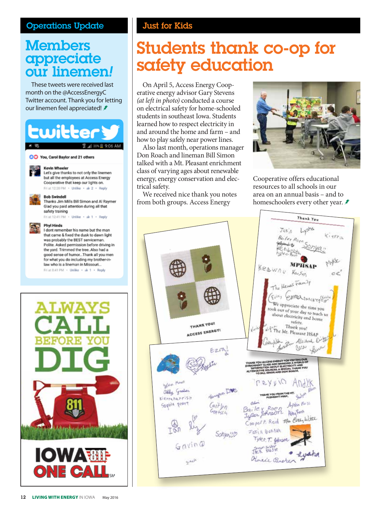### Operations Update

## **Members** appreciate our linemen*!*

These tweets were received last month on the @AccessEnergyC Twitter account. Thank you for letting our linemen feel appreciated! *≸* 





### Just for Kids

# Students thank co-op for safety education

On April 5, Access Energy Cooperative energy advisor Gary Stevens *(at left in photo)* conducted a course on electrical safety for home-schooled students in southeast Iowa. Students learned how to respect electricity in and around the home and farm – and how to play safely near power lines.

Also last month, operations manager Don Roach and lineman Bill Simon talked with a Mt. Pleasant enrichment class of varying ages about renewable energy, energy conservation and electrical safety.

We received nice thank you notes from both groups. Access Energy



Cooperative offers educational resources to all schools in our area on an annual basis – and to homeschoolers every other year. *≢*